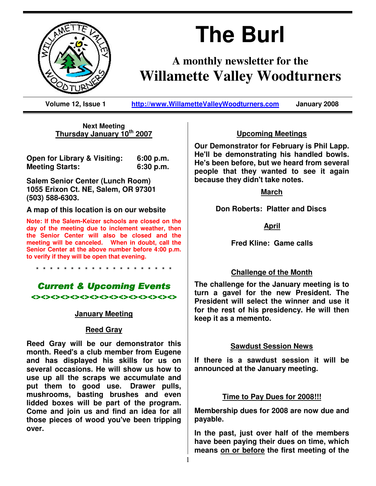

# **The Burl**

# **A monthly newsletter for the Willamette Valley Woodturners**

**Volume 12, Issue 1 http://www.WillametteValleyWoodturners.com January 2008** 

**Next Meeting Thursday January 10th 2007**

**Open for Library & Visiting: 6:00 p.m. Meeting Starts: 6:30 p.m.** 

**Salem Senior Center (Lunch Room) 1055 Erixon Ct. NE, Salem, OR 97301 (503) 588-6303.** 

**A map of this location is on our website** 

**Note: If the Salem-Keizer schools are closed on the day of the meeting due to inclement weather, then the Senior Center will also be closed and the meeting will be canceled. When in doubt, call the Senior Center at the above number before 4:00 p.m. to verify if they will be open that evening.** 

\* \* \* \* \* \* \* \* \* \* \* \* \* \* \* \* \* \* \* \*

# **Current & Upcoming Events**

 $\leftrightarrow$ 

#### **January Meeting**

#### **Reed Gray**

**Reed Gray will be our demonstrator this month. Reed's a club member from Eugene and has displayed his skills for us on several occasions. He will show us how to use up all the scraps we accumulate and put them to good use. Drawer pulls, mushrooms, basting brushes and even lidded boxes will be part of the program. Come and join us and find an idea for all those pieces of wood you've been tripping over.**

#### **Upcoming Meetings**

**Our Demonstrator for February is Phil Lapp. He'll be demonstrating his handled bowls. He's been before, but we heard from several people that they wanted to see it again because they didn't take notes.** 

#### **March**

 **Don Roberts: Platter and Discs** 

#### **April**

 **Fred Kline: Game calls** 

#### **Challenge of the Month**

**The challenge for the January meeting is to turn a gavel for the new President. The President will select the winner and use it for the rest of his presidency. He will then keep it as a memento.** 

#### **Sawdust Session News**

**If there is a sawdust session it will be announced at the January meeting.** 

#### **Time to Pay Dues for 2008!!!**

**Membership dues for 2008 are now due and payable.** 

**In the past, just over half of the members have been paying their dues on time, which means on or before the first meeting of the**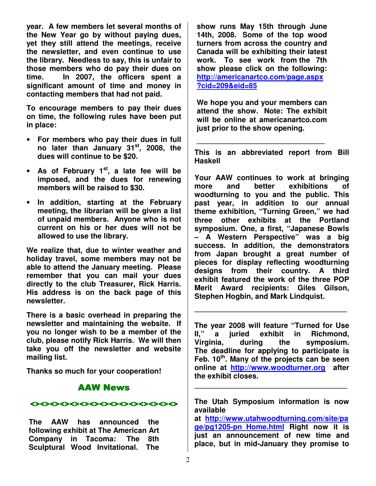**year. A few members let several months of the New Year go by without paying dues, yet they still attend the meetings, receive the newsletter, and even continue to use the library. Needless to say, this is unfair to those members who do pay their dues on time. In 2007, the officers spent a significant amount of time and money in contacting members that had not paid.** 

**To encourage members to pay their dues on time, the following rules have been put in place:** 

- **For members who pay their dues in full no later than January 31st, 2008, the dues will continue to be \$20.**
- **As of February 1st, a late fee will be imposed, and the dues for renewing members will be raised to \$30.**
- **In addition, starting at the February meeting, the librarian will be given a list of unpaid members. Anyone who is not current on his or her dues will not be allowed to use the library.**

**We realize that, due to winter weather and holiday travel, some members may not be able to attend the January meeting. Please remember that you can mail your dues directly to the club Treasurer, Rick Harris. His address is on the back page of this newsletter.** 

**There is a basic overhead in preparing the newsletter and maintaining the website. If you no longer wish to be a member of the club, please notify Rick Harris. We will then take you off the newsletter and website mailing list.** 

**Thanks so much for your cooperation!** 

# AAW News

<><><><><><><><><><><><><><><> <><><><><><><><><><><><><><><>

**The AAW has announced the following exhibit at The American Art Company in Tacoma: The 8th Sculptural Wood Invitational. The** 

**show runs May 15th through June 14th, 2008. Some of the top wood turners from across the country and Canada will be exhibiting their latest work. To see work from the 7th show please click on the following: http://americanartco.com/page.aspx ?cid=209&eid=85**

**We hope you and your members can attend the show. Note: The exhibit will be online at americanartco.com just prior to the show opening.** 

**\_\_\_\_\_\_\_\_\_\_\_\_\_\_\_\_\_\_\_\_\_\_\_\_\_\_\_\_\_\_\_** 

**This is an abbreviated report from Bill Haskell** 

**Your AAW continues to work at bringing more and better exhibitions of woodturning to you and the public. This past year, in addition to our annual theme exhibition, "Turning Green," we had three other exhibits at the Portland symposium. One, a first, "Japanese Bowls – A Western Perspective" was a big success. In addition, the demonstrators from Japan brought a great number of pieces for display reflecting woodturning designs from their country. A third exhibit featured the work of the three POP Merit Award recipients: Giles Gilson, Stephen Hogbin, and Mark Lindquist.** 

**The year 2008 will feature "Turned for Use II," a juried exhibit in Richmond, Virginia, during the symposium. The deadline for applying to participate is Feb. 10th. Many of the projects can be seen online at http://www.woodturner.org after the exhibit closes.** 

**\_\_\_\_\_\_\_\_\_\_\_\_\_\_\_\_\_\_\_\_\_\_\_\_\_\_\_\_\_\_\_\_\_\_\_\_\_** 

**The Utah Symposium information is now available** 

**\_\_\_\_\_\_\_\_\_\_\_\_\_\_\_\_\_\_\_\_\_\_\_\_\_\_\_\_\_\_\_\_\_\_\_\_\_** 

**at http://www.utahwoodturning.com/site/pa ge/pg1205-pn\_Home.html Right now it is just an announcement of new time and place, but in mid-January they promise to**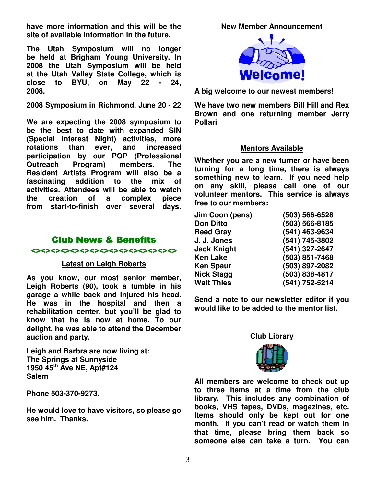**have more information and this will be the site of available information in the future.** 

**The Utah Symposium will no longer be held at Brigham Young University. In 2008 the Utah Symposium will be held at the Utah Valley State College, which is close to BYU, on May 22 - 24, 2008.** 

**2008 Symposium in Richmond, June 20 - 22** 

**We are expecting the 2008 symposium to be the best to date with expanded SIN (Special Interest Night) activities, more rotations than ever, and increased participation by our POP (Professional Outreach Program) members. The Resident Artists Program will also be a fascinating addition to the mix of activities. Attendees will be able to watch the creation of a complex piece from start-to-finish over several days.** 

# Club News & Benefits

#### <><><><><><><><><><><><><><><>

#### **Latest on Leigh Roberts**

**As you know, our most senior member, Leigh Roberts (90), took a tumble in his garage a while back and injured his head. He was in the hospital and then a rehabilitation center, but you'll be glad to know that he is now at home. To our delight, he was able to attend the December auction and party.** 

**Leigh and Barbra are now living at: The Springs at Sunnyside 1950 45th Ave NE, Apt#124 Salem** 

**Phone 503-370-9273.** 

**He would love to have visitors, so please go see him. Thanks.**

#### **New Member Announcement**



**A big welcome to our newest members!** 

**We have two new members Bill Hill and Rex Brown and one returning member Jerry Pollari** 

#### **Mentors Available**

**Whether you are a new turner or have been turning for a long time, there is always something new to learn. If you need help on any skill, please call one of our volunteer mentors. This service is always free to our members:** 

| Jim Coon (pens)    | (503) 566-6528 |
|--------------------|----------------|
| <b>Don Ditto</b>   | (503) 566-8185 |
| <b>Reed Gray</b>   | (541) 463-9634 |
| J. J. Jones        | (541) 745-3802 |
| <b>Jack Knight</b> | (541) 327-2647 |
| Ken Lake           | (503) 851-7468 |
| Ken Spaur          | (503) 897-2082 |
| <b>Nick Stagg</b>  | (503) 838-4817 |
| <b>Walt Thies</b>  | (541) 752-5214 |
|                    |                |

**Send a note to our newsletter editor if you would like to be added to the mentor list.** 



**All members are welcome to check out up to three items at a time from the club library. This includes any combination of books, VHS tapes, DVDs, magazines, etc. Items should only be kept out for one month. If you can't read or watch them in that time, please bring them back so someone else can take a turn. You can**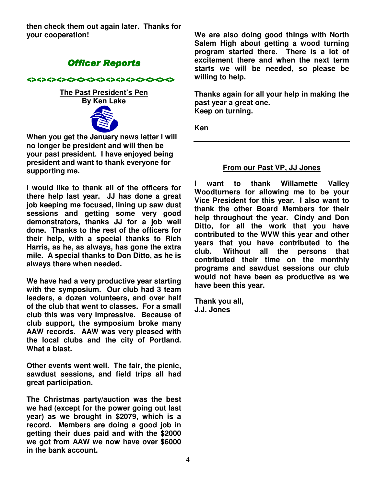**then check them out again later. Thanks for your cooperation!** 

# **Officer Reports**

<><><><><><><><><><><><><><><>

**The Past President's Pen By Ken Lake** 



**When you get the January news letter I will no longer be president and will then be your past president. I have enjoyed being president and want to thank everyone for supporting me.** 

**I would like to thank all of the officers for there help last year. JJ has done a great job keeping me focused, lining up saw dust sessions and getting some very good demonstrators, thanks JJ for a job well done. Thanks to the rest of the officers for their help, with a special thanks to Rich Harris, as he, as always, has gone the extra mile. A special thanks to Don Ditto, as he is always there when needed.** 

**We have had a very productive year starting with the symposium. Our club had 3 team leaders, a dozen volunteers, and over half of the club that went to classes. For a small club this was very impressive. Because of club support, the symposium broke many AAW records. AAW was very pleased with the local clubs and the city of Portland. What a blast.** 

**Other events went well. The fair, the picnic, sawdust sessions, and field trips all had great participation.** 

**The Christmas party/auction was the best we had (except for the power going out last year) as we brought in \$2079, which is a record. Members are doing a good job in getting their dues paid and with the \$2000 we got from AAW we now have over \$6000 in the bank account.** 

**We are also doing good things with North Salem High about getting a wood turning program started there. There is a lot of excitement there and when the next term starts we will be needed, so please be willing to help.** 

**Thanks again for all your help in making the past year a great one. Keep on turning.** 

**Ken** 

# **From our Past VP, JJ Jones**

**I want to thank Willamette Valley Woodturners for allowing me to be your Vice President for this year. I also want to thank the other Board Members for their help throughout the year. Cindy and Don Ditto, for all the work that you have contributed to the WVW this year and other years that you have contributed to the club. Without all the persons that contributed their time on the monthly programs and sawdust sessions our club would not have been as productive as we have been this year.** 

**Thank you all, J.J. Jones**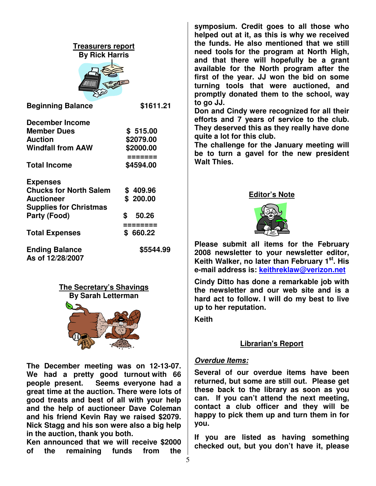| Tre <u>asurers report</u><br><b>By Rick Harris</b>                                                                                              |                                                             |  |  |  |
|-------------------------------------------------------------------------------------------------------------------------------------------------|-------------------------------------------------------------|--|--|--|
| <b>Beginning Balance</b>                                                                                                                        | \$1611.21                                                   |  |  |  |
| <b>December Income</b><br><b>Member Dues</b><br><b>Auction</b><br><b>Windfall from AAW</b><br><b>Total Income</b>                               | \$515.00<br>\$2079.00<br>\$2000.00<br>=======<br>\$4594.00  |  |  |  |
| <b>Expenses</b><br><b>Chucks for North Salem</b><br><b>Auctioneer</b><br><b>Supplies for Christmas</b><br>Party (Food)<br><b>Total Expenses</b> | \$409.96<br>\$200.00<br>\$<br>50.26<br>========<br>\$660.22 |  |  |  |
| <b>Ending Balance</b><br>As of 12/28/2007                                                                                                       | \$5544.99                                                   |  |  |  |



**The December meeting was on 12-13-07. We had a pretty good turnout with 66 people present. Seems everyone had a great time at the auction. There were lots of good treats and best of all with your help and the help of auctioneer Dave Coleman and his friend Kevin Ray we raised \$2079. Nick Stagg and his son were also a big help in the auction, thank you both.** 

**Ken announced that we will receive \$2000 of the remaining funds from the** 

**symposium. Credit goes to all those who helped out at it, as this is why we received the funds. He also mentioned that we still need tools for the program at North High, and that there will hopefully be a grant available for the North program after the first of the year. JJ won the bid on some turning tools that were auctioned, and promptly donated them to the school, way to go JJ.** 

**Don and Cindy were recognized for all their efforts and 7 years of service to the club. They deserved this as they really have done quite a lot for this club.** 

**The challenge for the January meeting will be to turn a gavel for the new president Walt Thies.** 

#### **Editor's Note**



**Please submit all items for the February 2008 newsletter to your newsletter editor, Keith Walker, no later than February 1st. His e-mail address is: keithreklaw@verizon.net** 

**Cindy Ditto has done a remarkable job with the newsletter and our web site and is a hard act to follow. I will do my best to live up to her reputation.** 

**Keith** 

#### **Librarian's Report**

#### **Overdue Items:**

**Several of our overdue items have been returned, but some are still out. Please get these back to the library as soon as you can. If you can't attend the next meeting, contact a club officer and they will be happy to pick them up and turn them in for you.** 

**If you are listed as having something checked out, but you don't have it, please**